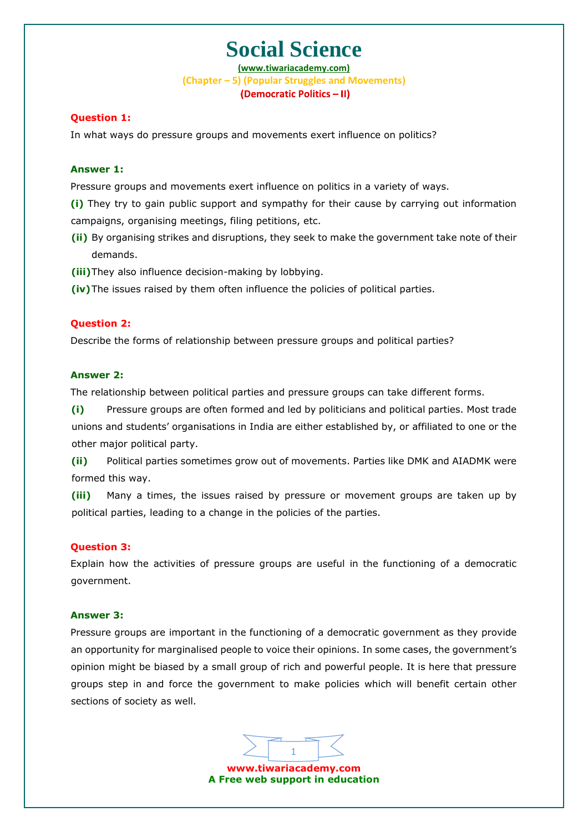**(www.tiwariacademy.com) (Chapter – 5) (Popular Struggles and Movements)** (Democratic Politics - II)

#### **Question 1:**

In what ways do pressure groups and movements exert influence on politics?

#### **Answer 1:**

Pressure groups and movements exert influence on politics in a variety of ways.

**(i)** They try to gain public support and sympathy for their cause by carrying out information campaigns, organising meetings, filing petitions, etc.

- **(ii)** By organising strikes and disruptions, they seek to make the government take note of their demands.
- **(iii)**They also influenc[e decision-making by lobby](www.tiwariacademy.com)ing.
- **(iv)**The issues raised by them often influence the policies of political parties.

#### **Question 2:**

Describe the forms of relationship between pressure groups and political parties?

#### **Answer 2:**

The relationship between political parties and pressure groups can take different forms.

**(i)** Pressure groups are often formed and led by politicians and political parties. Most trade unions and students' organisations in India are either established by, or affiliated to one or the other major political party.

**(ii)** Political parties sometimes grow out of movements. Parties like DMK and AIADMK were formed this way.

**(iii)** Many a times, the issues raised by pressure or movement groups are taken up by political parties, leading to a change in the policies of the parties.

#### **Question 3:**

Explain how the activities of pressure groups are useful in the functioning of a democratic government.

#### **Answer 3:**

Pressure groups are important in the functioning of a democratic government as they provide an opportunity for marginalised people to voice their opinions. In some cases, the government's opinion might be biased by a small group of rich and powerful people. It is here that pressure groups step in and force the government to make policies which will benefit certain other sections of society as well.

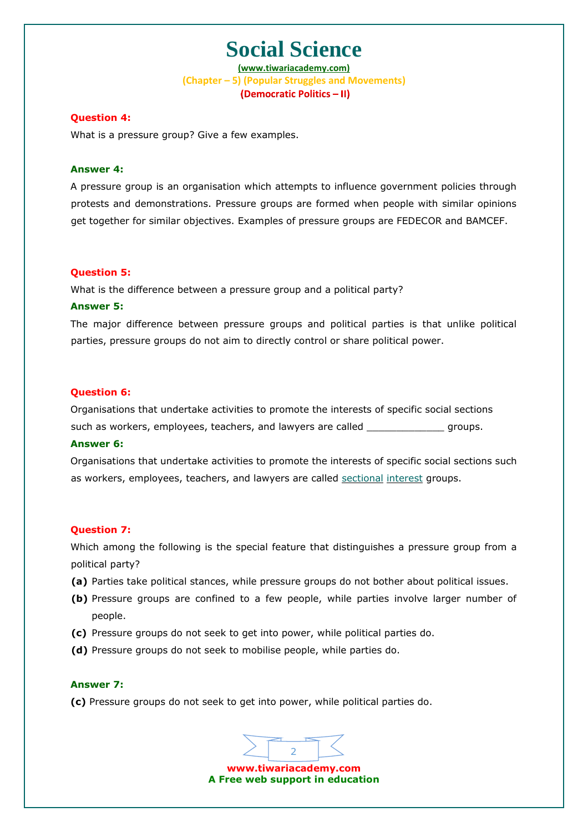**(www.tiwariacademy.com) (Chapter – 5) (Popular Struggles and Movements)** (Democratic Politics - II)

#### **Question 4:**

What is a pressure group? Give a few examples.

#### **Answer 4:**

A pressure group is an organisation which attempts to influence government policies through protests and demonstrations. Pressure groups are formed when people with similar opinions get together for similar objectives. Examples of pressure groups are FEDECOR and BAMCEF.

#### **Question 5:**

What is the difference between a pressure group and a political party?

#### **Answer 5:**

The major difference between pressure groups and political parties is that unlike political parties, pressure groups do not aim to directly control or share political power.

#### **Question 6:**

Organisations that undertake activities to promote the interests of specific social sections such as workers, employees, teachers, and lawyers are called \_\_\_\_\_\_\_\_\_\_\_\_\_\_ groups.

#### **Answer 6:**

Organisations that undertake activities to promote the interests of specific social sections such as workers, employees, teachers, and lawyers are called sectional interest groups.

#### **Question 7:**

Which among the following is the special feat[ure that distinguishes a pressur](www.tiwariacademy.com)e group from a political party?

- **(a)** Parties take political stances, while pressure groups do not bother about political issues.
- **(b)** Pressure groups are confined to a few people, while parties involve larger number of people.
- **(c)** Pressure groups do not seek to get into power, while political parties do.
- **(d)** Pressure groups do not seek to mobilise people, while parties do.

#### **Answer 7:**

**(c)** Pressure groups do not seek to get into power, while political parties do.

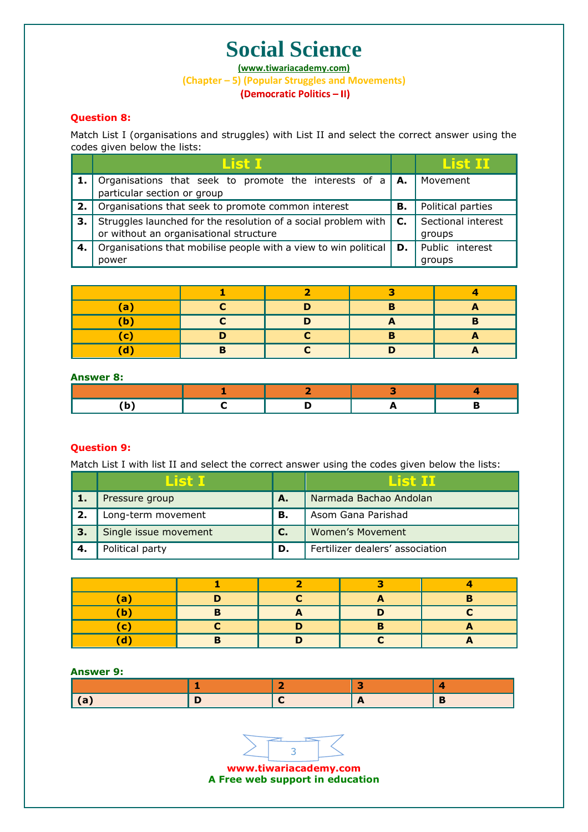**(www.tiwariacademy.com)**

**(Chapter – 5) (Popular Struggles and Movements)**

### **Question 8:**

Match List I (organisations and struggles) with List II and select the correct answer using the codes given below the lists:

|    | List I                                                                                                   |              | List III                     |
|----|----------------------------------------------------------------------------------------------------------|--------------|------------------------------|
|    | Organisations that seek to promote the interests of a<br>particular section or group                     | l A.         | Movement                     |
| 2. | Organisations that seek to promote common interest                                                       | В.           | Political parties            |
| З. | Struggles launched for the resolution of a social problem with<br>or without an organisational structure | $\mathbf{C}$ | Sectional interest<br>groups |
| 4. | Organisations that mobilise people with a view to win political<br>power                                 |              | Public interest<br>groups    |

| a |   |  |  |
|---|---|--|--|
|   |   |  |  |
|   |   |  |  |
|   | п |  |  |

#### **Answer 8:**

### **Question 9:**

Match List I with list II and select the correct answer using the codes given below the lists:

|    | l ist i               |              | List II                         |
|----|-----------------------|--------------|---------------------------------|
|    | Pressure group        | А.           | Narmada Bachao Andolan          |
|    | Long-term movement    | В.           | Asom Gana Parishad              |
| 3. | Single issue movement | $\mathbf{C}$ | Women's Movement                |
|    | Political party       | D.           | Fertilizer dealers' association |

| a |  |  |
|---|--|--|
| b |  |  |
|   |  |  |
|   |  |  |

### **Answer 9:**



**A Free web support in education**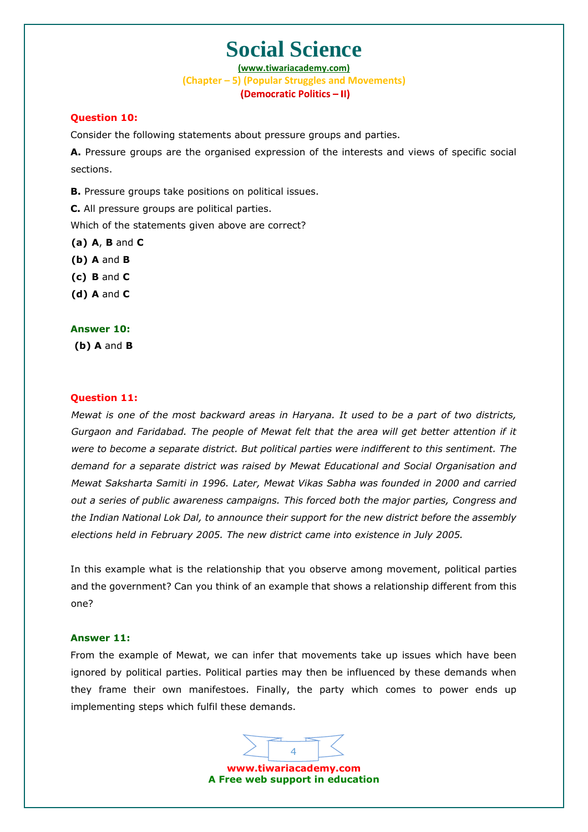**(www.tiwariacademy.com) (Chapter – 5) (Popular Struggles and Movements)** (Democratic Politics - II)

#### **Question 10:**

Consider the following statements about pressure groups and parties.

**Α.** Pressure groups are the organised expression of the interests and views of specific social sections.

**B.** Pressure groups take positions on political issues.

**C.** All pressure groups are political parties.

Which of the statements given above are correct?

- **(a) A**, **B** and **C**
- **(b) A** and **B**
- **(c) B** and **C**
- **(d) A** and **C**

#### **Answer 10:**

**(b) A** and **B**

#### **Question 11:**

*Mewat is one of the most backward areas in Haryana. It used to be a part of two districts, Gurgaon and Faridabad. The people of Mewat felt that the area will get better attention if it were to become a separate district. But political parties were indifferent to this sentiment. The demand for a separate district was raised by Mewat Educational and Social Organisation and Mewat Saksharta Samiti in 1996. Later, Mewat Vikas Sabha was founded in 2000 and carried out a series of public awareness campaigns. This forced both the major parties, Congress and the Indian National Lok Dal, to announce their support for the new district before the assembly elections held in February 2005. The new district came into existence in July 2005.*

In this example what is the relationship that you observe among movement, political parties and the government? Can you think of an example that shows a relationship different from this one?

#### **Answer 11:**

From the example of Mewat, we can infer that movements take up issues which have been ignored by political parties. Political parties may then be influenced by these demands when they frame their own manifestoes. Finally, the party which comes to power ends up implementing steps which fulfil these demands.